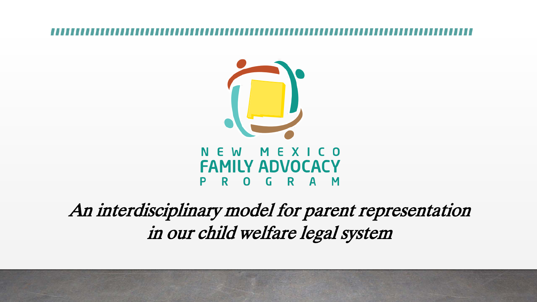

### E. MEXICO W **FAMILY ADVOCACY** GRAM R. 0

## An interdisciplinary model for parent representation in our child welfare legal system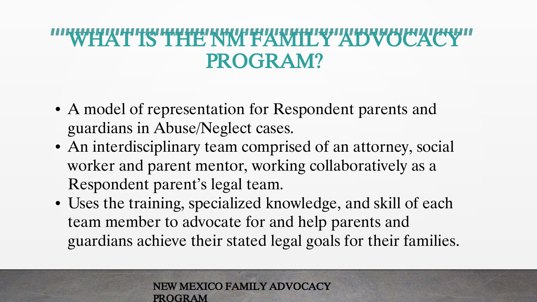## "WHAT IS THE NM FAWILY ADVOCACY PROGRAM?

- A model of representation for Respondent parents and guardians in Abuse/Neglect cases.
- An interdisciplinary team comprised of an attorney, social worker and parent mentor, working collaboratively as a Respondent parent's legal team.
- Uses the training, specialized knowledge, and skill of each team member to advocate for and help parents and guardians achieve their stated legal goals for their families.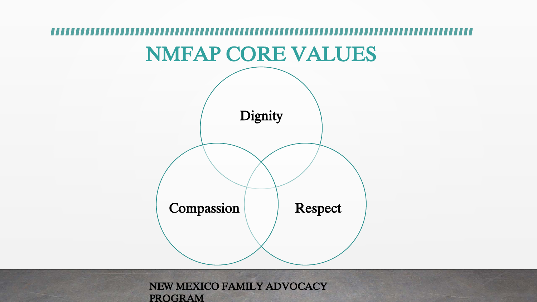# NMFAP CORE VALUES

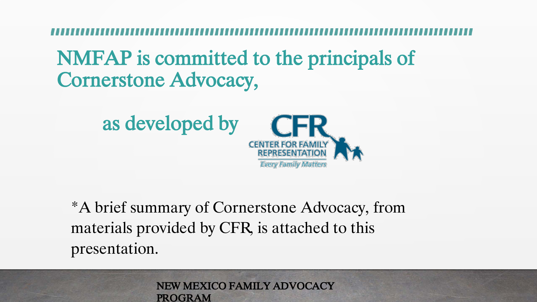## NMFAP is committed to the principals of Cornerstone Advocacy,



\*A brief summary of Cornerstone Advocacy, from materials provided by CFR, is attached to this presentation.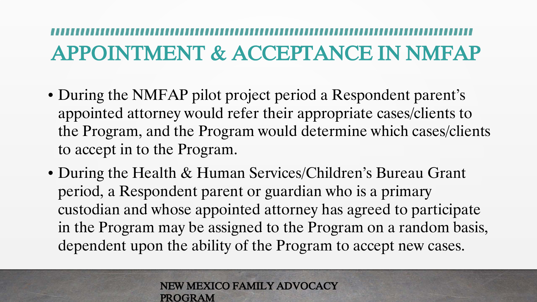# APPOINTMENT & ACCEPTANCE IN NMFAP

- During the NMFAP pilot project period a Respondent parent's appointed attorney would refer their appropriate cases/clients to the Program, and the Program would determine which cases/clients to accept in to the Program.
- During the Health & Human Services/Children's Bureau Grant period, a Respondent parent or guardian who is a primary custodian and whose appointed attorney has agreed to participate in the Program may be assigned to the Program on a random basis, dependent upon the ability of the Program to accept new cases.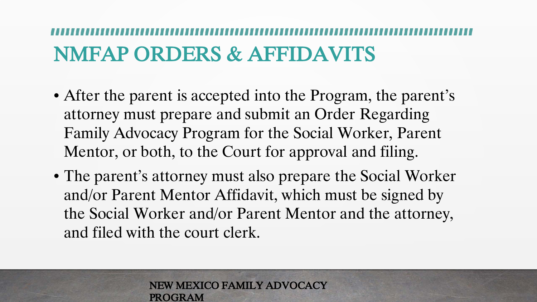# NMFAP ORDERS & AFFIDAVITS

- After the parent is accepted into the Program, the parent's attorney must prepare and submit an Order Regarding Family Advocacy Program for the Social Worker, Parent Mentor, or both, to the Court for approval and filing.
- The parent's attorney must also prepare the Social Worker and/or Parent Mentor Affidavit, which must be signed by the Social Worker and/or Parent Mentor and the attorney, and filed with the court clerk.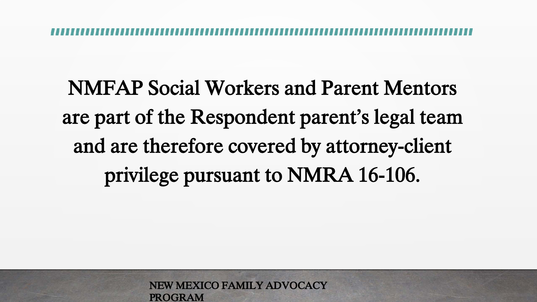NMFAP Social Workers and Parent Mentors are part of the Respondent parent's legal team and are therefore covered by attorney-client privilege pursuant to NMRA 16-106.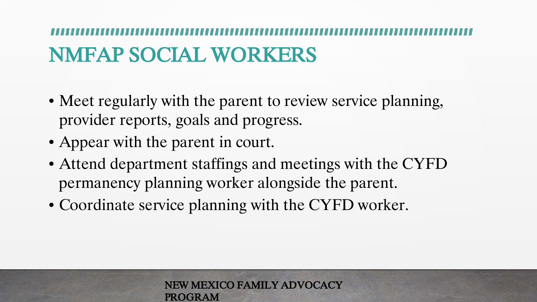# NMFAP SOCIAL WORKERS

- Meet regularly with the parent to review service planning, provider reports, goals and progress.
- Appear with the parent in court.
- Attend department staffings and meetings with the CYFD permanency planning worker alongside the parent.
- Coordinate service planning with the CYFD worker.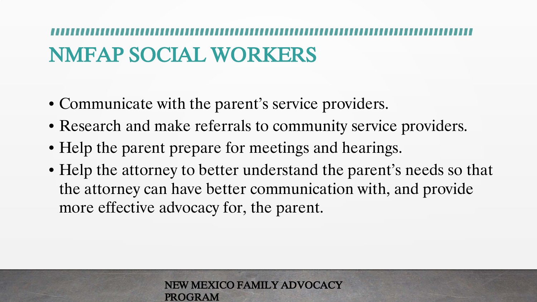# NMFAP SOCIAL WORKERS

- Communicate with the parent's service providers.
- Research and make referrals to community service providers.
- Help the parent prepare for meetings and hearings.
- Help the attorney to better understand the parent's needs so that the attorney can have better communication with, and provide more effective advocacy for, the parent.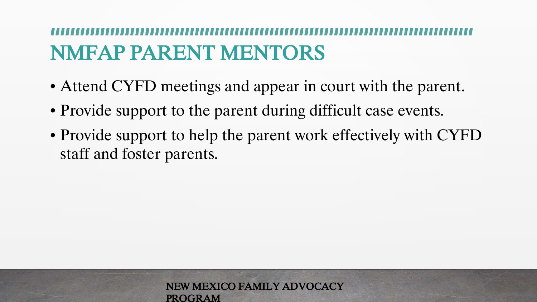# NMFAP PARENT MENTORS

- Attend CYFD meetings and appear in court with the parent.
- Provide support to the parent during difficult case events.
- Provide support to help the parent work effectively with CYFD staff and foster parents.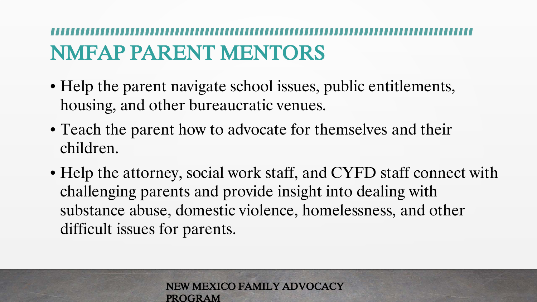# NMFAP PARENT MENTORS

- Help the parent navigate school issues, public entitlements, housing, and other bureaucratic venues.
- Teach the parent how to advocate for themselves and their children.
- Help the attorney, social work staff, and CYFD staff connect with challenging parents and provide insight into dealing with substance abuse, domestic violence, homelessness, and other difficult issues for parents.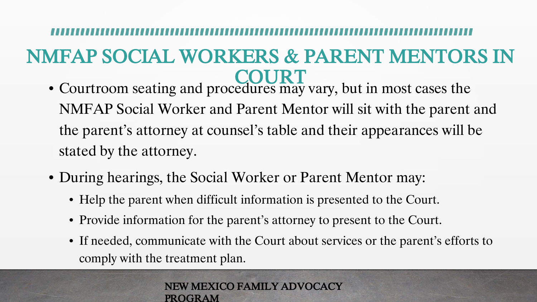## NMFAP SOCIAL WORKERS & PARENT MENTORS IN **COURT**

- Courtroom seating and procedures may vary, but in most cases the NMFAP Social Worker and Parent Mentor will sit with the parent and the parent's attorney at counsel's table and their appearances will be stated by the attorney.
- During hearings, the Social Worker or Parent Mentor may:
	- Help the parent when difficult information is presented to the Court.
	- Provide information for the parent's attorney to present to the Court.
	- If needed, communicate with the Court about services or the parent's efforts to comply with the treatment plan.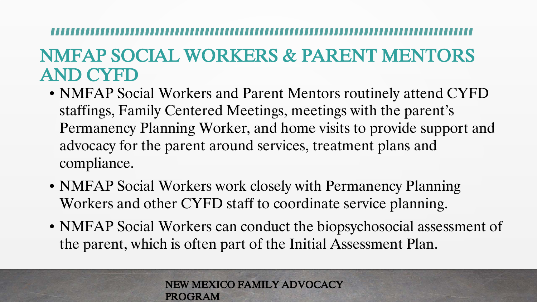## NMFAP SOCIAL WORKERS & PARENT MENTORS AND CYFD

- NMFAP Social Workers and Parent Mentors routinely attend CYFD staffings, Family Centered Meetings, meetings with the parent's Permanency Planning Worker, and home visits to provide support and advocacy for the parent around services, treatment plans and compliance.
- NMFAP Social Workers work closely with Permanency Planning Workers and other CYFD staff to coordinate service planning.
- NMFAP Social Workers can conduct the biopsychosocial assessment of the parent, which is often part of the Initial Assessment Plan.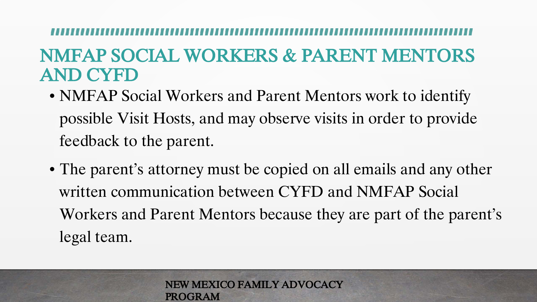## NMFAP SOCIAL WORKERS & PARENT MENTORS AND CYFD

- NMFAP Social Workers and Parent Mentors work to identify possible Visit Hosts, and may observe visits in order to provide feedback to the parent.
- The parent's attorney must be copied on all emails and any other written communication between CYFD and NMFAP Social Workers and Parent Mentors because they are part of the parent's legal team.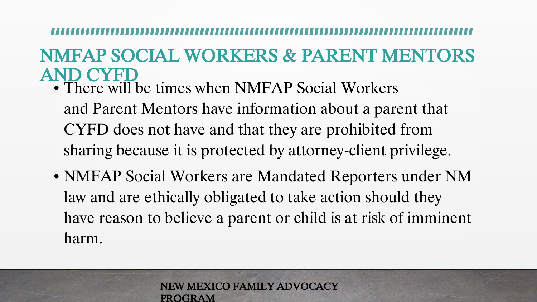### NMFAP SOCIAL WORKERS & PARENT MENTORS AND CYFD

- $\overline{\bullet}$  There will be times when NMFAP Social Workers and Parent Mentors have information about a parent that CYFD does not have and that they are prohibited from sharing because it is protected by attorney-client privilege.
- NMFAP Social Workers are Mandated Reporters under NM law and are ethically obligated to take action should they have reason to believe a parent or child is at risk of imminent harm.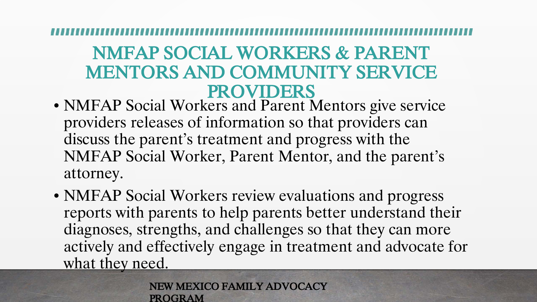### NMFAP SOCIAL WORKERS & PARENT MENTORS AND COMMUNITY SERVICE PROVIDERS

- NMFAP Social Workers and Parent Mentors give service providers releases of information so that providers can discuss the parent's treatment and progress with the NMFAP Social Worker, Parent Mentor, and the parent's attorney.
- NMFAP Social Workers review evaluations and progress reports with parents to help parents better understand their diagnoses, strengths, and challenges so that they can more actively and effectively engage in treatment and advocate for what they need.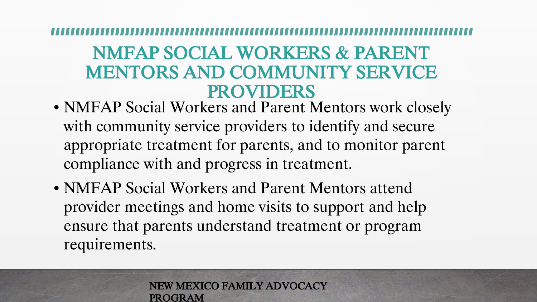### NMFAP SOCIAL WORKERS & PARENT MENTORS AND COMMUNITY SERVICE PROVIDERS

- NMFAP Social Workers and Parent Mentors work closely with community service providers to identify and secure appropriate treatment for parents, and to monitor parent compliance with and progress in treatment.
- NMFAP Social Workers and Parent Mentors attend provider meetings and home visits to support and help ensure that parents understand treatment or program requirements.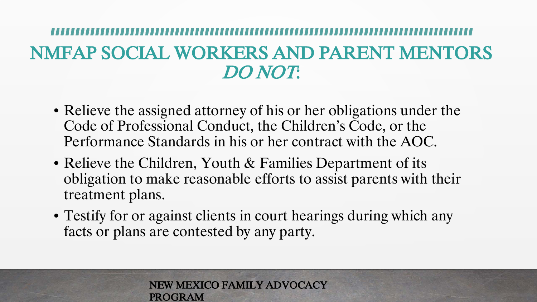## NMFAP SOCIAL WORKERS AND PARENT MENTORS DO NOT:

- Relieve the assigned attorney of his or her obligations under the Code of Professional Conduct, the Children's Code, or the Performance Standards in his or her contract with the AOC.
- Relieve the Children, Youth & Families Department of its obligation to make reasonable efforts to assist parents with their treatment plans.
- Testify for or against clients in court hearings during which any facts or plans are contested by any party.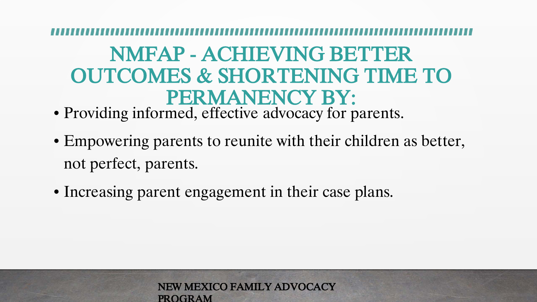## NMFAP - ACHIEVING BETTER OUTCOMES & SHORTENING TIME TO PERMANENCY BY:

- Providing informed, effective advocacy for parents.
- Empowering parents to reunite with their children as better, not perfect, parents.
- Increasing parent engagement in their case plans.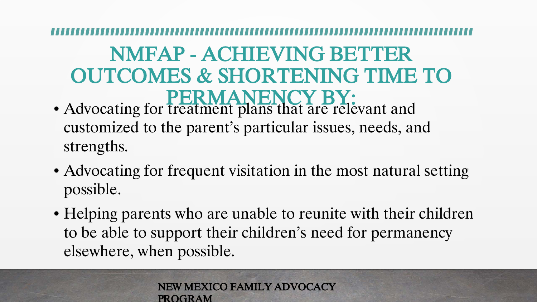## NMFAP - ACHIEVING BETTER OUTCOMES & SHORTENING TIME TO PERMANENCY BY:

- Advocating for treatment plans that are relevant and customized to the parent's particular issues, needs, and strengths.
- Advocating for frequent visitation in the most natural setting possible.
- Helping parents who are unable to reunite with their children to be able to support their children's need for permanency elsewhere, when possible.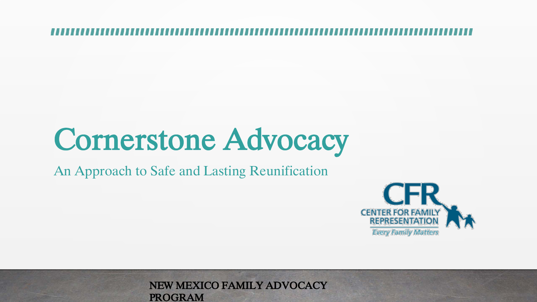# Cornerstone Advocacy

An Approach to Safe and Lasting Reunification

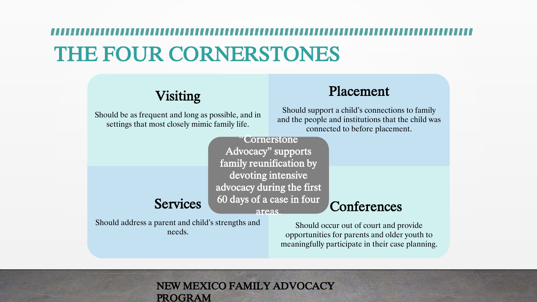# THE FOUR CORNERSTONES

### Visiting

Should be as frequent and long as possible, and in settings that most closely mimic family life.

### Placement

Should support a child's connections to family and the people and institutions that the child was connected to before placement.

"Cornerstone Advocacy" supports family reunification by devoting intensive advocacy during the first 60 days of a case in four areas.

Should address a parent and child's strengths and needs.

**Services** 

Should occur out of court and provide opportunities for parents and older youth to meaningfully participate in their case planning.

**Conferences**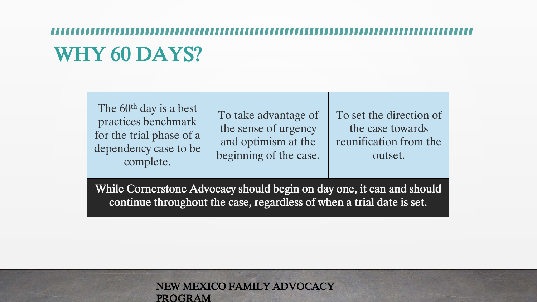# WHY 60 DAYS?

The 60<sup>th</sup> day is a best practices benchmark for the trial phase of a dependency case to be complete.

To take advantage of the sense of urgency and optimism at the beginning of the case. To set the direction of the case towards reunification from the outset.

While Cornerstone Advocacy should begin on day one, it can and should continue throughout the case, regardless of when a trial date is set.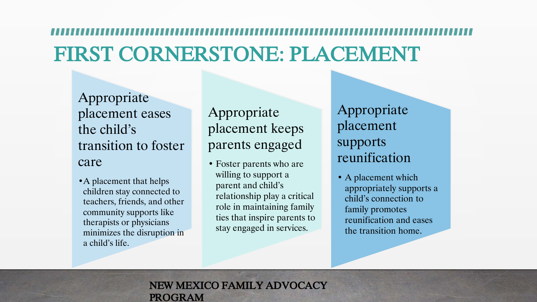# FIRST CORNERSTONE: PLACEMENT

Appropriate placement eases the child's transition to foster care

• A placement that helps children stay connected to teachers, friends, and other community supports like therapists or physicians minimizes the disruption in a child's life.

Appropriate placement keeps parents engaged

• Foster parents who are willing to support a parent and child's relationship play a critical role in maintaining family ties that inspire parents to stay engaged in services.

Appropriate placement supports reunification

• A placement which appropriately supports a child's connection to family promotes reunification and eases the transition home.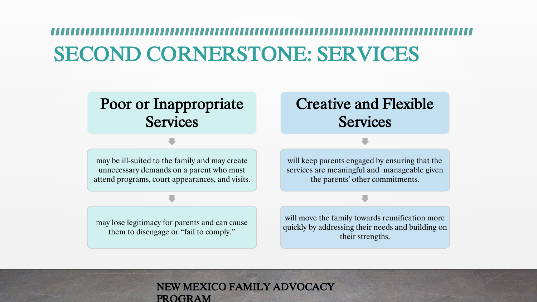# SECOND CORNERSTONE: SERVICES

### Poor or Inappropriate **Services**

### Creative and Flexible **Services**

may be ill-suited to the family and may create unnecessary demands on a parent who must attend programs, court appearances, and visits.

may lose legitimacy for parents and can cause them to disengage or "fail to comply."

will keep parents engaged by ensuring that the services are meaningful and manageable given the parents' other commitments.

will move the family towards reunification more quickly by addressing their needs and building on their strengths.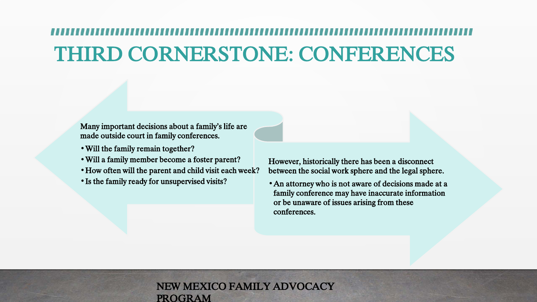# THIRD CORNERSTONE: CONFERENCES

Many important decisions about a family's life are made outside court in family conferences.

- •Will the family remain together?
- •Will a family member become a foster parent?
- •How often will the parent and child visit each week?
- •Is the family ready for unsupervised visits?

However, historically there has been a disconnect between the social work sphere and the legal sphere.

•An attorney who is not aware of decisions made at a family conference may have inaccurate information or be unaware of issues arising from these conferences.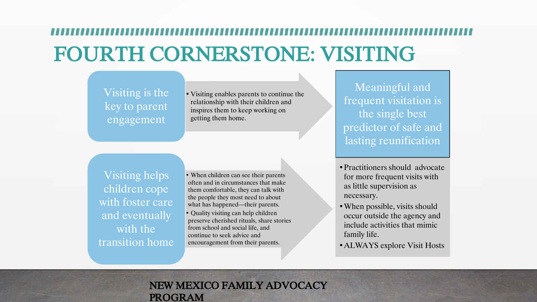# FOURTH CORNERSTONE: VISITING

Visiting is the key to parent engagement

• Visiting enables parents to continue the relationship with their children and inspires them to keep working on getting them home.

Visiting helps children cope with foster care and eventually with the transition home

- When children can see their parents often and in circumstances that make them comfortable, they can talk with the people they most need to about what has happened—their parents.
- Quality visiting can help children preserve cherished rituals, share stories from school and social life, and continue to seek advice and encouragement from their parents.

Meaningful and frequent visitation is the single best predictor of safe and lasting reunification

- Practitioners should advocate for more frequent visits with as little supervision as necessary.
- •When possible, visits should occur outside the agency and include activities that mimic family life.
- •ALWAYS explore Visit Hosts